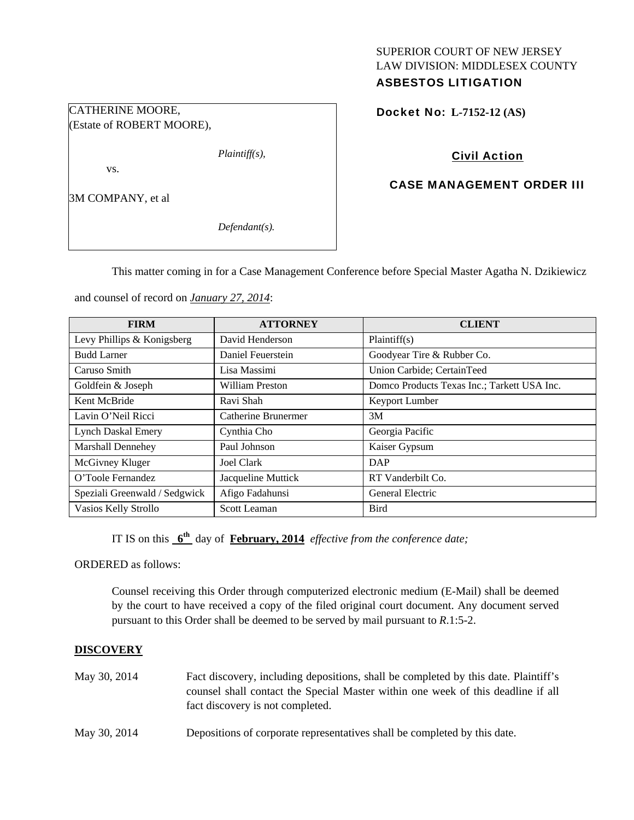## SUPERIOR COURT OF NEW JERSEY LAW DIVISION: MIDDLESEX COUNTY ASBESTOS LITIGATION

Docket No: **L-7152-12 (AS)** 

# Civil Action

# CASE MANAGEMENT ORDER III

CATHERINE MOORE, (Estate of ROBERT MOORE),

3M COMPANY, et al

vs.

*Defendant(s).* 

*Plaintiff(s),* 

This matter coming in for a Case Management Conference before Special Master Agatha N. Dzikiewicz

and counsel of record on *January 27, 2014*:

| <b>FIRM</b>                   | <b>ATTORNEY</b>     | <b>CLIENT</b>                               |
|-------------------------------|---------------------|---------------------------------------------|
| Levy Phillips & Konigsberg    | David Henderson     | Plaintiff(s)                                |
| <b>Budd Larner</b>            | Daniel Feuerstein   | Goodyear Tire & Rubber Co.                  |
| Caruso Smith                  | Lisa Massimi        | Union Carbide; CertainTeed                  |
| Goldfein & Joseph             | William Preston     | Domco Products Texas Inc.; Tarkett USA Inc. |
| Kent McBride                  | Ravi Shah           | Keyport Lumber                              |
| Lavin O'Neil Ricci            | Catherine Brunermer | 3M                                          |
| Lynch Daskal Emery            | Cynthia Cho         | Georgia Pacific                             |
| Marshall Dennehey             | Paul Johnson        | Kaiser Gypsum                               |
| McGivney Kluger               | Joel Clark          | DAP                                         |
| O'Toole Fernandez             | Jacqueline Muttick  | RT Vanderbilt Co.                           |
| Speziali Greenwald / Sedgwick | Afigo Fadahunsi     | General Electric                            |
| Vasios Kelly Strollo          | Scott Leaman        | <b>Bird</b>                                 |

IT IS on this **6th** day of **February, 2014** *effective from the conference date;*

ORDERED as follows:

Counsel receiving this Order through computerized electronic medium (E-Mail) shall be deemed by the court to have received a copy of the filed original court document. Any document served pursuant to this Order shall be deemed to be served by mail pursuant to *R*.1:5-2.

## **DISCOVERY**

- May 30, 2014 Fact discovery, including depositions, shall be completed by this date. Plaintiff's counsel shall contact the Special Master within one week of this deadline if all fact discovery is not completed.
- May 30, 2014 Depositions of corporate representatives shall be completed by this date.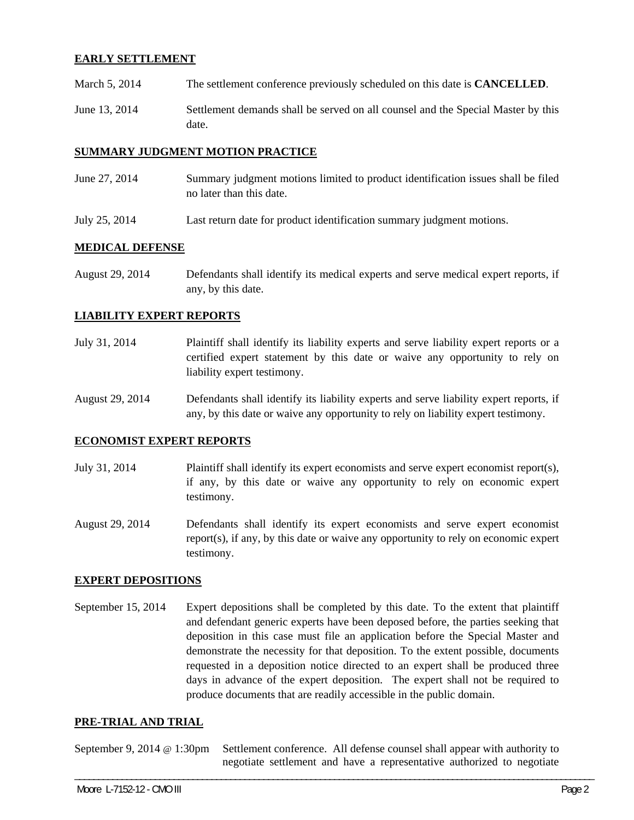## **EARLY SETTLEMENT**

- March 5, 2014 The settlement conference previously scheduled on this date is **CANCELLED**.
- June 13, 2014 Settlement demands shall be served on all counsel and the Special Master by this date.

#### **SUMMARY JUDGMENT MOTION PRACTICE**

- June 27, 2014 Summary judgment motions limited to product identification issues shall be filed no later than this date.
- July 25, 2014 Last return date for product identification summary judgment motions.

### **MEDICAL DEFENSE**

August 29, 2014 Defendants shall identify its medical experts and serve medical expert reports, if any, by this date.

### **LIABILITY EXPERT REPORTS**

- July 31, 2014 Plaintiff shall identify its liability experts and serve liability expert reports or a certified expert statement by this date or waive any opportunity to rely on liability expert testimony.
- August 29, 2014 Defendants shall identify its liability experts and serve liability expert reports, if any, by this date or waive any opportunity to rely on liability expert testimony.

#### **ECONOMIST EXPERT REPORTS**

- July 31, 2014 Plaintiff shall identify its expert economists and serve expert economist report(s), if any, by this date or waive any opportunity to rely on economic expert testimony.
- August 29, 2014 Defendants shall identify its expert economists and serve expert economist report(s), if any, by this date or waive any opportunity to rely on economic expert testimony.

#### **EXPERT DEPOSITIONS**

September 15, 2014 Expert depositions shall be completed by this date. To the extent that plaintiff and defendant generic experts have been deposed before, the parties seeking that deposition in this case must file an application before the Special Master and demonstrate the necessity for that deposition. To the extent possible, documents requested in a deposition notice directed to an expert shall be produced three days in advance of the expert deposition. The expert shall not be required to produce documents that are readily accessible in the public domain.

#### **PRE-TRIAL AND TRIAL**

September 9, 2014 @ 1:30pm Settlement conference. All defense counsel shall appear with authority to negotiate settlement and have a representative authorized to negotiate

\_\_\_\_\_\_\_\_\_\_\_\_\_\_\_\_\_\_\_\_\_\_\_\_\_\_\_\_\_\_\_\_\_\_\_\_\_\_\_\_\_\_\_\_\_\_\_\_\_\_\_\_\_\_\_\_\_\_\_\_\_\_\_\_\_\_\_\_\_\_\_\_\_\_\_\_\_\_\_\_\_\_\_\_\_\_\_\_\_\_\_\_\_\_\_\_\_\_\_\_\_\_\_\_\_\_\_\_\_\_